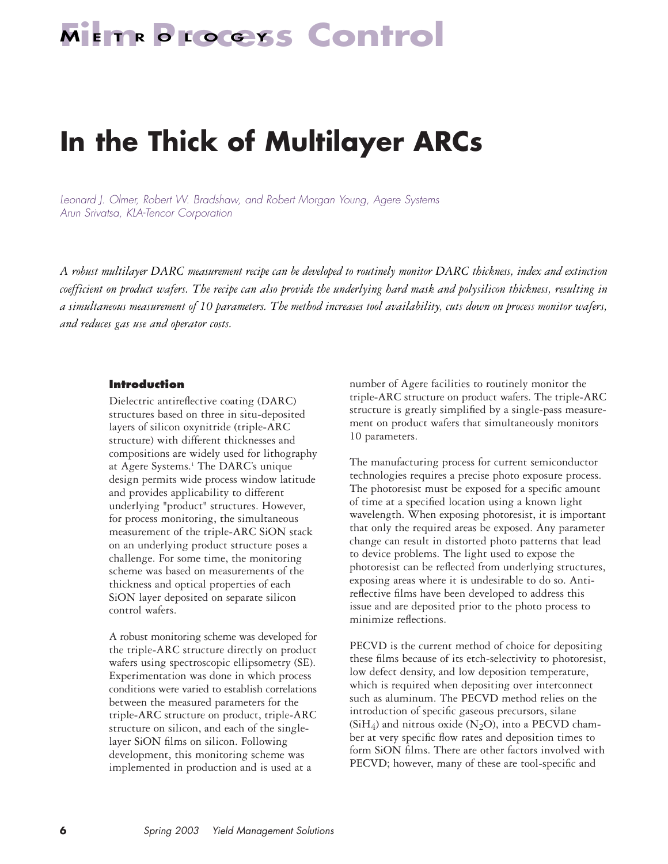## **METR Process Control**

## **In the Thick of Multilayer ARCs**

*Leonard J. Olmer, Robert W. Bradshaw, and Robert Morgan Young, Agere Systems Arun Srivatsa, KLA-Tencor Corporation*

*A robust multilayer DARC measurement recipe can be developed to routinely monitor DARC thickness, index and extinction coefficient on product wafers. The recipe can also provide the underlying hard mask and polysilicon thickness, resulting in a simultaneous measurement of 10 parameters. The method increases tool availability, cuts down on process monitor wafers, and reduces gas use and operator costs.* 

#### **Introduction**

Dielectric antireflective coating (DARC) structures based on three in situ-deposited layers of silicon oxynitride (triple-ARC structure) with different thicknesses and compositions are widely used for lithography at Agere Systems.<sup>1</sup> The DARC's unique design permits wide process window latitude and provides applicability to different underlying "product" structures. However, for process monitoring, the simultaneous measurement of the triple-ARC SiON stack on an underlying product structure poses a challenge. For some time, the monitoring scheme was based on measurements of the thickness and optical properties of each SiON layer deposited on separate silicon control wafers.

A robust monitoring scheme was developed for the triple-ARC structure directly on product wafers using spectroscopic ellipsometry (SE). Experimentation was done in which process conditions were varied to establish correlations between the measured parameters for the triple-ARC structure on product, triple-ARC structure on silicon, and each of the singlelayer SiON films on silicon. Following development, this monitoring scheme was implemented in production and is used at a

number of Agere facilities to routinely monitor the triple-ARC structure on product wafers. The triple-ARC structure is greatly simplified by a single-pass measurement on product wafers that simultaneously monitors 10 parameters.

The manufacturing process for current semiconductor technologies requires a precise photo exposure process. The photoresist must be exposed for a specific amount of time at a specified location using a known light wavelength. When exposing photoresist, it is important that only the required areas be exposed. Any parameter change can result in distorted photo patterns that lead to device problems. The light used to expose the photoresist can be reflected from underlying structures, exposing areas where it is undesirable to do so. Antireflective films have been developed to address this issue and are deposited prior to the photo process to minimize reflections.

PECVD is the current method of choice for depositing these films because of its etch-selectivity to photoresist, low defect density, and low deposition temperature, which is required when depositing over interconnect such as aluminum. The PECVD method relies on the introduction of specific gaseous precursors, silane (SiH<sub>4</sub>) and nitrous oxide (N<sub>2</sub>O), into a PECVD chamber at very specific flow rates and deposition times to form SiON films. There are other factors involved with PECVD; however, many of these are tool-specific and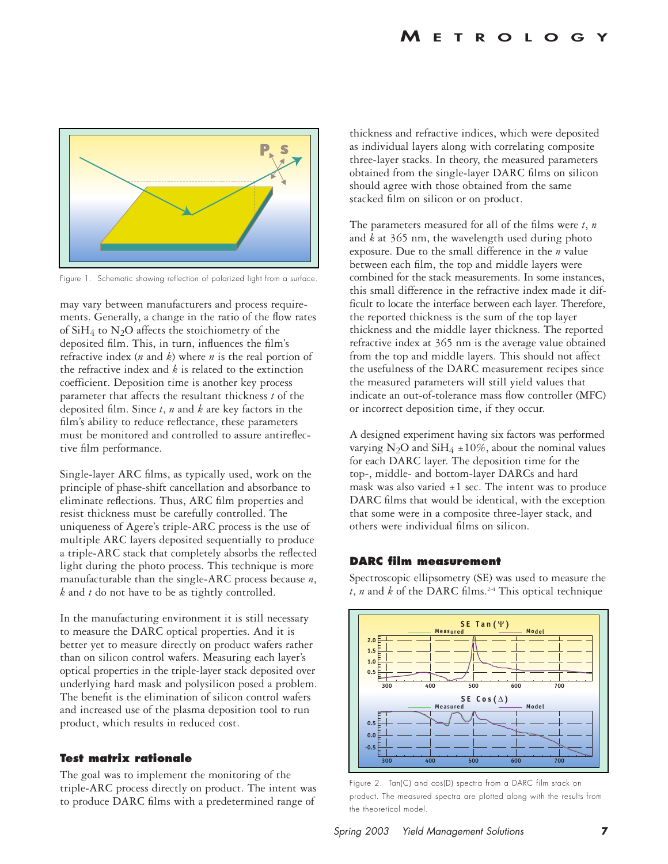

Figure 1. Schematic showing reflection of polarized light from a surface.

may vary between manufacturers and process requirements. Generally, a change in the ratio of the flow rates of  $SiH_4$  to N<sub>2</sub>O affects the stoichiometry of the deposited film. This, in turn, influences the film's refractive index (*n* and *k*) where *n* is the real portion of the refractive index and *k* is related to the extinction coefficient. Deposition time is another key process parameter that affects the resultant thickness *t* of the deposited film. Since *t*, *n* and *k* are key factors in the film's ability to reduce reflectance, these parameters must be monitored and controlled to assure antireflective film performance.

Single-layer ARC films, as typically used, work on the principle of phase-shift cancellation and absorbance to eliminate reflections. Thus, ARC film properties and resist thickness must be carefully controlled. The uniqueness of Agere's triple-ARC process is the use of multiple ARC layers deposited sequentially to produce a triple-ARC stack that completely absorbs the reflected light during the photo process. This technique is more manufacturable than the single-ARC process because *n*, *k* and *t* do not have to be as tightly controlled.

In the manufacturing environment it is still necessary to measure the DARC optical properties. And it is better yet to measure directly on product wafers rather than on silicon control wafers. Measuring each layer's optical properties in the triple-layer stack deposited over underlying hard mask and polysilicon posed a problem. The benefit is the elimination of silicon control wafers and increased use of the plasma deposition tool to run product, which results in reduced cost.

#### **Test matrix rationale**

The goal was to implement the monitoring of the triple-ARC process directly on product. The intent was to produce DARC films with a predetermined range of

thickness and refractive indices, which were deposited as individual layers along with correlating composite three-layer stacks. In theory, the measured parameters obtained from the single-layer DARC films on silicon should agree with those obtained from the same stacked film on silicon or on product.

The parameters measured for all of the films were *t*, *n* and *k* at 365 nm, the wavelength used during photo exposure. Due to the small difference in the *n* value between each film, the top and middle layers were combined for the stack measurements. In some instances, this small difference in the refractive index made it difficult to locate the interface between each layer. Therefore, the reported thickness is the sum of the top layer thickness and the middle layer thickness. The reported refractive index at 365 nm is the average value obtained from the top and middle layers. This should not affect the usefulness of the DARC measurement recipes since the measured parameters will still yield values that indicate an out-of-tolerance mass flow controller (MFC) or incorrect deposition time, if they occur.

A designed experiment having six factors was performed varying N<sub>2</sub>O and SiH<sub>4</sub>  $\pm$ 10%, about the nominal values for each DARC layer. The deposition time for the top-, middle- and bottom-layer DARCs and hard mask was also varied  $\pm 1$  sec. The intent was to produce DARC films that would be identical, with the exception that some were in a composite three-layer stack, and others were individual films on silicon.

#### **DARC film measurement**

Spectroscopic ellipsometry (SE) was used to measure the  $t$ , *n* and *k* of the DARC films.<sup>2-4</sup> This optical technique



Figure 2. Tan(C) and cos(D) spectra from a DARC film stack on product. The measured spectra are plotted along with the results from the theoretical model.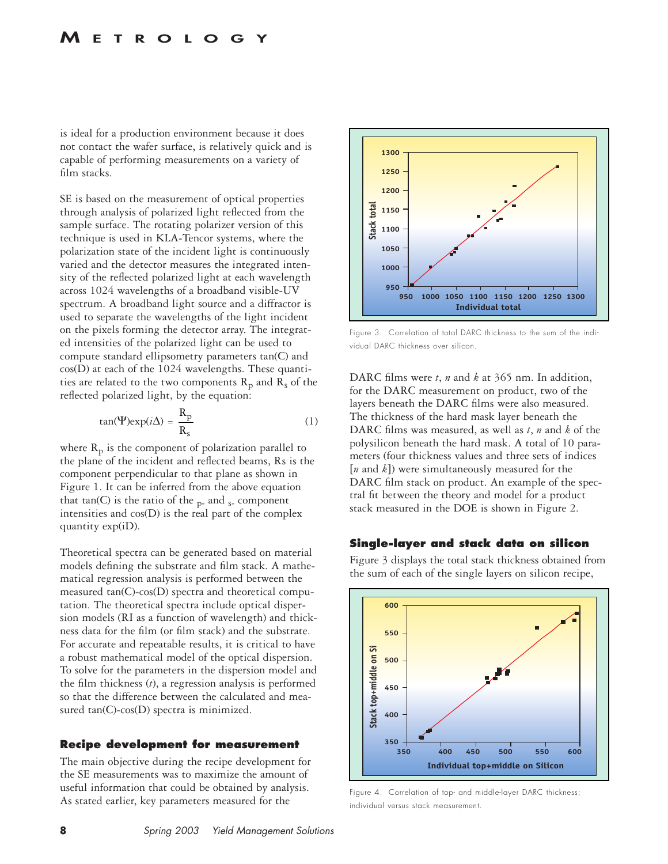is ideal for a production environment because it does not contact the wafer surface, is relatively quick and is capable of performing measurements on a variety of film stacks.

SE is based on the measurement of optical properties through analysis of polarized light reflected from the sample surface. The rotating polarizer version of this technique is used in KLA-Tencor systems, where the polarization state of the incident light is continuously varied and the detector measures the integrated intensity of the reflected polarized light at each wavelength across 1024 wavelengths of a broadband visible-UV spectrum. A broadband light source and a diffractor is used to separate the wavelengths of the light incident on the pixels forming the detector array. The integrated intensities of the polarized light can be used to compute standard ellipsometry parameters tan(C) and cos(D) at each of the 1024 wavelengths. These quantities are related to the two components  $R_p$  and  $R_s$  of the reflected polarized light, by the equation:

$$
\tan(\Psi)\exp(i\Delta) = \frac{R_p}{R_s} \tag{1}
$$

where  $R_p$  is the component of polarization parallel to the plane of the incident and reflected beams, Rs is the component perpendicular to that plane as shown in Figure 1. It can be inferred from the above equation that tan(C) is the ratio of the  $_{p}$ - and  $_{s}$ - component intensities and  $cos(D)$  is the real part of the complex quantity exp(iD).

Theoretical spectra can be generated based on material models defining the substrate and film stack. A mathematical regression analysis is performed between the measured tan(C)-cos(D) spectra and theoretical computation. The theoretical spectra include optical dispersion models (RI as a function of wavelength) and thickness data for the film (or film stack) and the substrate. For accurate and repeatable results, it is critical to have a robust mathematical model of the optical dispersion. To solve for the parameters in the dispersion model and the film thickness (*t*), a regression analysis is performed so that the difference between the calculated and measured tan(C)-cos(D) spectra is minimized.

#### **Recipe development for measurement**

The main objective during the recipe development for the SE measurements was to maximize the amount of useful information that could be obtained by analysis. As stated earlier, key parameters measured for the



Figure 3. Correlation of total DARC thickness to the sum of the individual DARC thickness over silicon.

DARC films were *t*, *n* and *k* at 365 nm. In addition, for the DARC measurement on product, two of the layers beneath the DARC films were also measured. The thickness of the hard mask layer beneath the DARC films was measured, as well as *t*, *n* and *k* of the polysilicon beneath the hard mask. A total of 10 parameters (four thickness values and three sets of indices [*n* and *k*]) were simultaneously measured for the DARC film stack on product. An example of the spectral fit between the theory and model for a product stack measured in the DOE is shown in Figure 2.

#### **Single-layer and stack data on silicon**

Figure 3 displays the total stack thickness obtained from the sum of each of the single layers on silicon recipe,



Figure 4. Correlation of top- and middle-layer DARC thickness; individual versus stack measurement.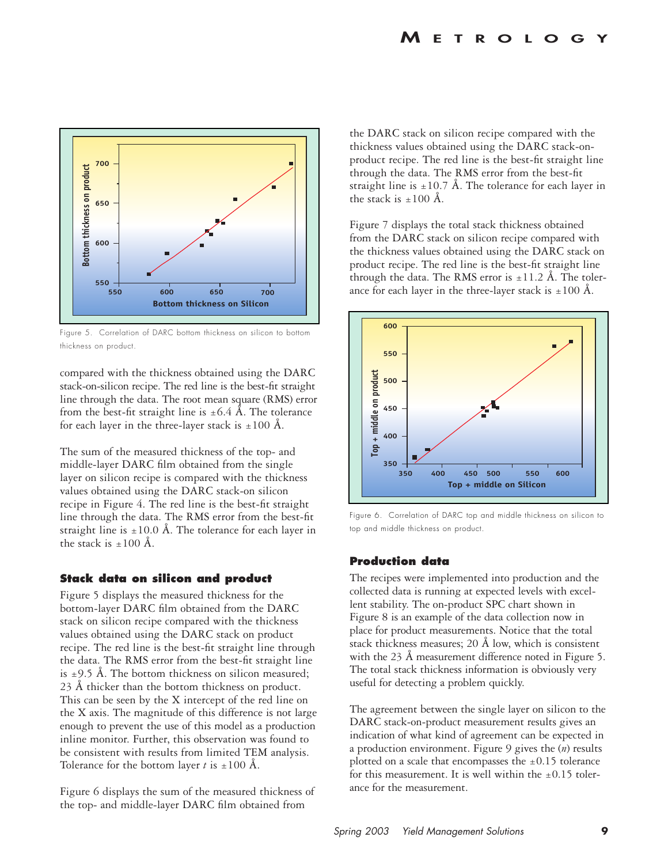

Figure 5. Correlation of DARC bottom thickness on silicon to bottom thickness on product.

compared with the thickness obtained using the DARC stack-on-silicon recipe. The red line is the best-fit straight line through the data. The root mean square (RMS) error from the best-fit straight line is  $\pm 6.4$  Å. The tolerance for each layer in the three-layer stack is  $\pm 100 \text{ Å}$ .

The sum of the measured thickness of the top- and middle-layer DARC film obtained from the single layer on silicon recipe is compared with the thickness values obtained using the DARC stack-on silicon recipe in Figure 4. The red line is the best-fit straight line through the data. The RMS error from the best-fit straight line is  $\pm 10.0$  Å. The tolerance for each layer in the stack is  $+100 \text{ Å}$ .

#### **Stack data on silicon and product**

Figure 5 displays the measured thickness for the bottom-layer DARC film obtained from the DARC stack on silicon recipe compared with the thickness values obtained using the DARC stack on product recipe. The red line is the best-fit straight line through the data. The RMS error from the best-fit straight line is  $\pm$ 9.5 Å. The bottom thickness on silicon measured; 23 Å thicker than the bottom thickness on product. This can be seen by the X intercept of the red line on the X axis. The magnitude of this difference is not large enough to prevent the use of this model as a production inline monitor. Further, this observation was found to be consistent with results from limited TEM analysis. Tolerance for the bottom layer *t* is  $\pm 100 \text{ Å}$ .

Figure 6 displays the sum of the measured thickness of the top- and middle-layer DARC film obtained from

the DARC stack on silicon recipe compared with the thickness values obtained using the DARC stack-onproduct recipe. The red line is the best-fit straight line through the data. The RMS error from the best-fit straight line is  $\pm 10.7$  Å. The tolerance for each layer in the stack is  $\pm 100 \text{ Å}.$ 

Figure 7 displays the total stack thickness obtained from the DARC stack on silicon recipe compared with the thickness values obtained using the DARC stack on product recipe. The red line is the best-fit straight line through the data. The RMS error is  $\pm 11.2$  Å. The tolerance for each layer in the three-layer stack is  $\pm 100 \text{ Å}$ .



Figure 6. Correlation of DARC top and middle thickness on silicon to top and middle thickness on product.

#### **Production data**

The recipes were implemented into production and the collected data is running at expected levels with excellent stability. The on-product SPC chart shown in Figure 8 is an example of the data collection now in place for product measurements. Notice that the total stack thickness measures; 20 Å low, which is consistent with the 23 Å measurement difference noted in Figure 5. The total stack thickness information is obviously very useful for detecting a problem quickly.

The agreement between the single layer on silicon to the DARC stack-on-product measurement results gives an indication of what kind of agreement can be expected in a production environment. Figure 9 gives the (*n*) results plotted on a scale that encompasses the  $\pm 0.15$  tolerance for this measurement. It is well within the  $\pm 0.15$  tolerance for the measurement.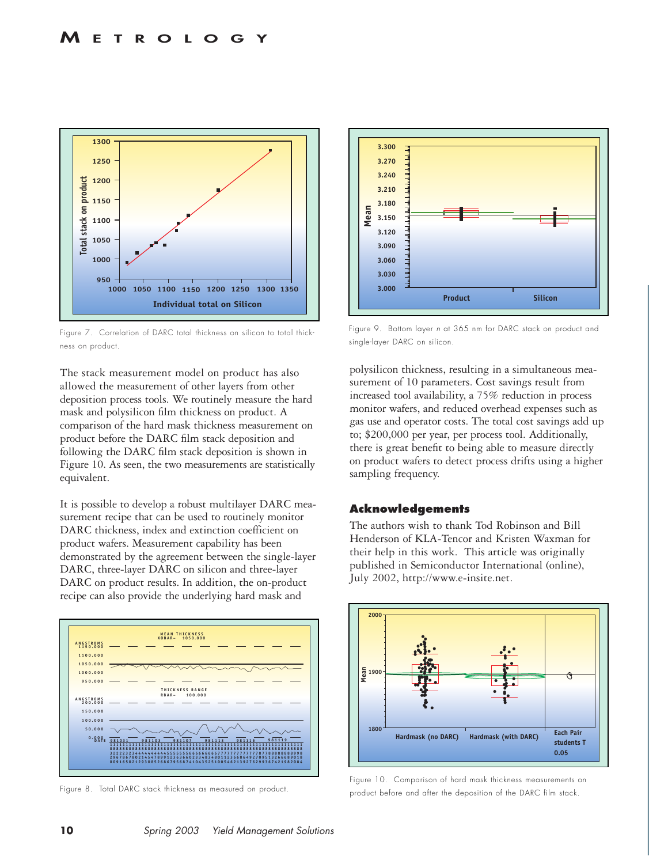

Figure 7. Correlation of DARC total thickness on silicon to total thickness on product.

The stack measurement model on product has also allowed the measurement of other layers from other deposition process tools. We routinely measure the hard mask and polysilicon film thickness on product. A comparison of the hard mask thickness measurement on product before the DARC film stack deposition and following the DARC film stack deposition is shown in Figure 10. As seen, the two measurements are statistically equivalent.

It is possible to develop a robust multilayer DARC measurement recipe that can be used to routinely monitor DARC thickness, index and extinction coefficient on product wafers. Measurement capability has been demonstrated by the agreement between the single-layer DARC, three-layer DARC on silicon and three-layer DARC on product results. In addition, the on-product recipe can also provide the underlying hard mask and



Figure 8. Total DARC stack thickness as measured on product.



Figure 9. Bottom layer *n* at 365 nm for DARC stack on product and single-layer DARC on silicon.

polysilicon thickness, resulting in a simultaneous measurement of 10 parameters. Cost savings result from increased tool availability, a 75% reduction in process monitor wafers, and reduced overhead expenses such as gas use and operator costs. The total cost savings add up to; \$200,000 per year, per process tool. Additionally, there is great benefit to being able to measure directly on product wafers to detect process drifts using a higher sampling frequency.

#### **Acknowledgements**

The authors wish to thank Tod Robinson and Bill Henderson of KLA-Tencor and Kristen Waxman for their help in this work. This article was originally published in Semiconductor International (online), July 2002, http://www.e-insite.net.



Figure 10. Comparison of hard mask thickness measurements on product before and after the deposition of the DARC film stack.